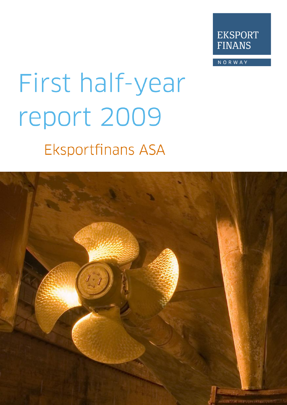

NORWAY

# First half-year report 2009 **Eksportfinans ASA**

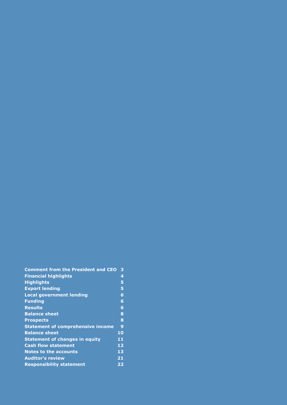| <b>Comment from the President and CEO</b> | 3            |
|-------------------------------------------|--------------|
| <b>Financial highlights</b>               | 4            |
| <b>Highlights</b>                         | 5            |
| <b>Export lending</b>                     | 5            |
| <b>Local government lending</b>           | 6            |
| <b>Funding</b>                            | 6            |
| <b>Results</b>                            | 6            |
| <b>Balance sheet</b>                      | 8            |
| <b>Prospects</b>                          | 8            |
| <b>Statement of comprehensive income</b>  | $\mathbf{9}$ |
| <b>Balance sheet</b>                      | 10           |
| <b>Statement of changes in equity</b>     | 11           |
| <b>Cash flow statement</b>                | 12           |
| <b>Notes to the accounts</b>              | 13           |
| <b>Auditor's review</b>                   | 21           |
| <b>Responsibility statement</b>           | 22           |
|                                           |              |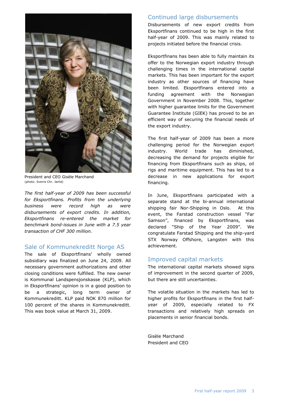

President and CEO Gisèle Marchand (photo: Sverre Chr. Jarlid)

*The first half-year of 2009 has been successful for Eksportfinans. Profits from the underlying business were record high as were disbursements of export credits. In addition, Eksportfinans re-entered the market for benchmark bond-issues in June with a 7.5 year transaction of CHF 300 million.*

#### Sale of Kommunekreditt Norge AS

The sale of Eksportfinans' wholly owned subsidiary was finalized on June 24, 2009. All necessary government authorizations and other closing conditions were fulfilled. The new owner is Kommunal Landspensjonskasse (KLP), which in Eksportfinans' opinion is in a good position to be a strategic, long term owner of Kommunekreditt. KLP paid NOK 870 million for 100 percent of the shares in Kommunekreditt. This was book value at March 31, 2009.

#### Continued large disbursements

Disbursements of new export credits from Eksportfinans continued to be high in the first half-year of 2009. This was mainly related to projects initiated before the financial crisis.

Eksportfinans has been able to fully maintain its offer to the Norwegian export industry through challenging times in the international capital markets. This has been important for the export industry as other sources of financing have been limited. Eksportfinans entered into a funding agreement with the Norwegian Government in November 2008. This, together with higher guarantee limits for the Government Guarantee Institute (GIEK) has proved to be an efficient way of securing the financial needs of the export industry.

The first half-year of 2009 has been a more challenging period for the Norwegian export industry. World trade has diminished, decreasing the demand for projects eligible for financing from Eksportfinans such as ships, oil rigs and maritime equipment. This has led to a decrease in new applications for export financing.

In June, Eksportfinans participated with a separate stand at the bi-annual international shipping fair Nor-Shipping in Oslo. At this event, the Farstad construction vessel "Far Samson", financed by Eksportfinans, was declared "Ship of the Year 2009". We congratulate Farstad Shipping and the ship-yard STX Norway Offshore, Langsten with this achievement.

#### Improved capital markets

The international capital markets showed signs of improvement in the second quarter of 2009, but there are still uncertainties.

The volatile situation in the markets has led to higher profits for Eksportfinans in the first halfyear of 2009, especially related to FX transactions and relatively high spreads on placements in senior financial bonds.

Gisèle Marchand President and CEO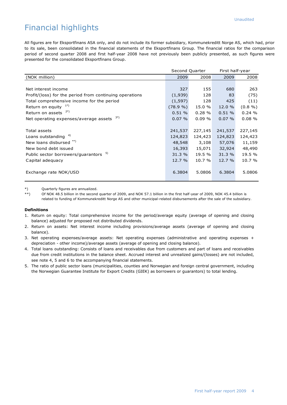# Financial highlights

All figures are for Eksportfinans ASA only, and do not include its former subsidiary, Kommunekreditt Norge AS, which had, prior to its sale, been consolidated in the financial statements of the Eksportfinans Group. The financial ratios for the comparison period of second quarter 2008 and first half-year 2008 have not previously been publicly presented, as such figures were presented for the consolidated Eksportfinans Group.

|                                                         |          | Second Quarter |           | First half-year |  |
|---------------------------------------------------------|----------|----------------|-----------|-----------------|--|
| (NOK million)                                           | 2009     | 2008           | 2009      | 2008            |  |
|                                                         |          |                |           |                 |  |
| Net interest income                                     | 327      | 155            | 680       | 263             |  |
| Profit/(loss) for the period from continuing operations | (1,939)  | 128            | 83        | (75)            |  |
| Total comprehensive income for the period               | (1, 597) | 128            | 425       | (11)            |  |
| Return on equity $1^*$                                  | (78.9%   | 15.0 %         | 12.0 %    | $(0.8\% )$      |  |
| 2*)<br>Return on assets                                 | 0.51%    | 0.28%          | 0.51%     | 0.24%           |  |
| 3*)<br>Net operating expenses/average assets            | 0.07%    | 0.09%          | $0.07 \%$ | 0.08%           |  |
|                                                         |          |                |           |                 |  |
| Total assets                                            | 241,537  | 227,145        | 241,537   | 227,145         |  |
| Loans outstanding <sup>4)</sup>                         | 124,823  | 124,423        | 124,823   | 124,423         |  |
| New loans disbursed **)                                 | 48,548   | 3,108          | 57,076    | 11,159          |  |
| New bond debt issued                                    | 16,393   | 15,071         | 32,924    | 48,490          |  |
| 5)<br>Public sector borrowers/quarantors                | 31.3 %   | 19.5 %         | 31.3 %    | 19.5 %          |  |
| Capital adequacy                                        | 12.7%    | 10.7 %         | 12.7%     | 10.7 %          |  |
|                                                         |          |                |           |                 |  |
| Exchange rate NOK/USD                                   | 6.3804   | 5.0806         | 6.3804    | 5.0806          |  |
|                                                         |          |                |           |                 |  |

\*) Quarterly figures are annualized.<br>\*\*) Of NOK 48.5 billion in the second

Of NOK 48.5 billion in the second quarter of 2009, and NOK 57.1 billion in the first half-year of 2009, NOK 45.4 billion is related to funding of Kommunekreditt Norge AS and other municipal-related disbursements after the sale of the subsidiary.

#### **Definitions**

- 1. Return on equity: Total comprehensive income for the period/average equity (average of opening and closing balance) adjusted for proposed not distributed dividends.
- 2. Return on assets: Net interest income including provisions/average assets (average of opening and closing balance).
- 3. Net operating expenses/average assets: Net operating expenses (administrative and operating expenses + depreciation - other income)/average assets (average of opening and closing balance).
- 4. Total loans outstanding: Consists of loans and receivables due from customers and part of loans and receivables due from credit institutions in the balance sheet. Accrued interest and unrealized gains/(losses) are not included, see note 4, 5 and 6 to the accompanying financial statements.
- 5. The ratio of public sector loans (municipalities, counties and Norwegian and foreign central government, including the Norwegian Guarantee Institute for Export Credits (GIEK) as borrowers or guarantors) to total lending.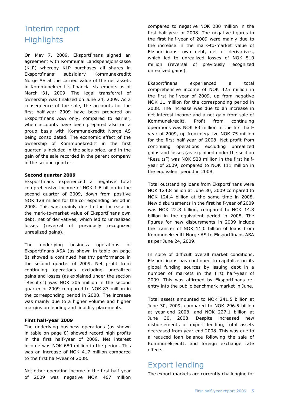# Interim report **Highlights**

On May 7, 2009, Eksportfinans signed an agreement with Kommunal Landspensjonskasse (KLP) whereby KLP purchases all shares in Eksportfinans" subsidiary Kommunekreditt Norge AS at the carried value of the net assets in Kommunekreditt's financial statements as of March 31, 2009. The legal transferral of ownership was finalized on June 24, 2009. As a consequence of the sale, the accounts for the first half-year 2009 have been prepared on Eksportfinans ASA only, compared to earlier, when accounts have been prepared also on a group basis with Kommunekreditt Norge AS being consolidated. The economic effect of the ownership of Kommunekreditt in the first quarter is included in the sales price, and in the gain of the sale recorded in the parent company in the second quarter.

#### **Second quarter 2009**

Eksportfinans experienced a negative total comprehensive income of NOK 1.6 billion in the second quarter of 2009, down from positive NOK 128 million for the corresponding period in 2008. This was mainly due to the increase in the mark-to-market value of Eksportfinans own debt, net of derivatives, which led to unrealized losses (reversal of previously recognized unrealized gains).

The underlying business operations of Eksportfinans ASA (as shown in table on page 8) showed a continued healthy performance in the second quarter of 2009. Net profit from continuing operations excluding unrealized gains and losses (as explained under the section "Results") was NOK 305 million in the second quarter of 2009 compared to NOK 83 million in the corresponding period in 2008. The increase was mainly due to a higher volume and higher margins on lending and liquidity placements.

#### **First half-year 2009**

The underlying business operations (as shown in table on page 8) showed record high profits in the first half-year of 2009. Net interest income was NOK 680 million in the period. This was an increase of NOK 417 million compared to the first half-year of 2008.

Net other operating income in the first half-year of 2009 was negative NOK 467 million compared to negative NOK 280 million in the first half-year of 2008. The negative figures in the first half-year of 2009 were mainly due to the increase in the mark-to-market value of Eksportfinans" own debt, net of derivatives, which led to unrealized losses of NOK 510 million (reversal of previously recognized unrealized gains).

Eksportfinans experienced a total comprehensive income of NOK 425 million in the first half-year of 2009, up from negative NOK 11 million for the corresponding period in 2008. The increase was due to an increase in net interest income and a net gain from sale of Kommunekreditt. Profit from continuing operations was NOK 83 million in the first halfyear of 2009, up from negative NOK 75 million for the first half-year of 2008. Net profit from continuing operations excluding unrealized gains and losses (as explained under the section "Results") was NOK 523 million in the first halfyear of 2009, compared to NOK 111 million in the equivalent period in 2008.

Total outstanding loans from Eksportfinans were NOK 124.8 billion at June 30, 2009 compared to NOK 124.4 billion at the same time in 2008. New disbursements in the first half-year of 2009 was NOK 22.8 billion, compared to NOK 14.8 billion in the equivalent period in 2008. The figures for new disbursments in 2009 include the transfer of NOK 11.0 billion of loans from Kommunekreditt Norge AS to Eksportfinans ASA as per June 24, 2009.

In spite of difficult overall market conditions, Eksportfinans has continued to capitalize on its global funding sources by issuing debt in a number of markets in the first half-year of 2009. This was affirmed by Eksportfinans reentry into the public benchmark market in June.

Total assets amounted to NOK 241.5 billion at June 30, 2009, compared to NOK 296.5 billion at year-end 2008, and NOK 227.1 billion at June 30, 2008. Despite increased new disbursements of export lending, total assets decreased from year-end 2008. This was due to a reduced loan balance following the sale of Kommunekreditt, and foreign exchange rate effects.

# Export lending

The export markets are currently challenging for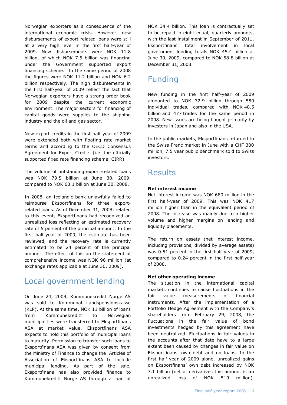Norwegian exporters as a consequence of the international economic crisis. However, new disbursements of export related loans were still at a very high level in the first half-year of 2009. New disbursements were NOK 11.8 billion, of which NOK 7.5 billion was financing under the Government supported export financing scheme. In the same period of 2008 the figures were NOK 11.2 billion and NOK 6.2 billion respectively. The high disbursements in the first half-year of 2009 reflect the fact that Norwegian exporters have a strong order book for 2009 despite the current economic environment. The major sectors for financing of capital goods were supplies to the shipping industry and the oil and gas sector.

New export credits in the first half-year of 2009 were extended both with floating rate market terms and according to the OECD Consensus Agreement for Export Credits (i.e. the officially supported fixed rate financing scheme, CIRR).

The volume of outstanding export-related loans was NOK 79.5 billion at June 30, 2009, compared to NOK 63.1 billion at June 30, 2008.

In 2008, an Icelandic bank unlawfully failed to reimburse Eksportfinans for three exportrelated loans. As of December 31, 2008, related to this event, Eksportfinans had recognized an unrealized loss reflecting an estimated recovery rate of 5 percent of the principal amount. In the first half-year of 2009, the estimate has been reviewed, and the recovery rate is currently estimated to be 24 percent of the principal amount. The effect of this on the statement of comprehensive income was NOK 96 million (at exchange rates applicable at June 30, 2009).

# Local government lending

On June 24, 2009, Kommunekreditt Norge AS was sold to Kommunal Landspensjonskasse (KLP). At the same time, NOK 11 billion of loans from Kommunekreditt to Norwegian municipalities were transferred to Eksportfinans ASA at market value. Eksportfinans ASA expects to hold this portfolio of municipal loans to maturity. Permission to transfer such loans to Eksportfinans ASA was given by consent from the Ministry of Finance to change the Articles of Association of Eksportfinans ASA to include municipal lending. As part of the sale, Eksportfinans has also provided finance to Kommunekreditt Norge AS through a loan of

NOK 34.4 billion. This loan is contractually set to be repaid in eight equal, quarterly amounts, with the last installment in September of 2011. Eksportfinans" total involvement in local government lending totals NOK 45.4 billion at June 30, 2009, compared to NOK 58.8 billion at December 31, 2008.

# Funding

New funding in the first half-year of 2009 amounted to NOK 32.9 billion through 550 individual trades, compared with NOK 48.5 billion and 477 trades for the same period in 2008. New issues are being bought primarily by investors in Japan and also in the USA.

In the public markets, Eksportfinans returned to the Swiss Franc market in June with a CHF 300 million, 7.5 year public benchmark sold to Swiss investors.

# Results

#### **Net interest income**

Net interest income was NOK 680 million in the first half-year of 2009. This was NOK 417 million higher than in the equivalent period of 2008. The increase was mainly due to a higher volume and higher margins on lending and liquidity placements.

The return on assets (net interest income, including provisions, divided by average assets) was 0.51 percent in the first half-year of 2009, compared to 0.24 percent in the first half-year of 2008.

#### **Net other operating income**

The situation in the international capital markets continues to cause fluctuations in the fair value measurements of financial instruments. After the implementation of a Portfolio Hedge Agreement with the Company"s shareholders from February 29, 2008, the fluctuations in the fair value of bond investments hedged by this agreement have been neutralized. Fluctuations in fair values in the accounts after that date have to a large extent been caused by changes in fair value on Eksportfinans" own debt and on loans. In the first half-year of 2009 alone, unrealized gains on Eksportfinans" own debt increased by NOK 7.1 billion (net of derivatives this amount is an unrealized loss of NOK 510 million).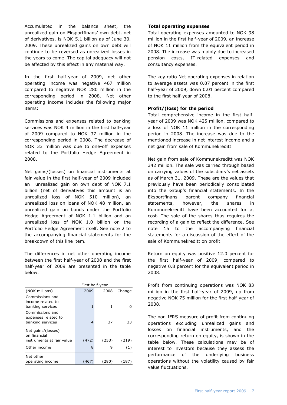Accumulated in the balance sheet, the unrealized gain on Eksportfinans" own debt, net of derivatives, is NOK 5.1 billion as of June 30, 2009. These unrealized gains on own debt will continue to be reversed as unrealized losses in the years to come. The capital adequacy will not be affected by this effect in any material way.

In the first half-year of 2009, net other operating income was negative 467 million compared to negative NOK 280 million in the corresponding period in 2008. Net other operating income includes the following major items:

Commissions and expenses related to banking services was NOK 4 million in the first half-year of 2009 compared to NOK 37 million in the corresponding period in 2008. The decrease of NOK 33 million was due to one-off expenses related to the Portfolio Hedge Agreement in 2008.

Net gains/(losses) on financial instruments at fair value in the first half-year of 2009 included an unrealized gain on own debt of NOK 7.1 billion (net of derivatives this amount is an unrealized loss of NOK 510 million), an unrealized loss on loans of NOK 48 million, an unrealized gain on bonds under the Portfolio Hedge Agreement of NOK 1.1 billion and an unrealized loss of NOK 1.0 billion on the Portfolio Hedge Agreement itself. See note 2 to the accompanying financial statements for the breakdown of this line item.

The differences in net other operating income between the first half-year of 2008 and the first half-year of 2009 are presented in the table below.

|                                                                 | First half-year |       |        |  |  |
|-----------------------------------------------------------------|-----------------|-------|--------|--|--|
| (NOK millions)                                                  | 2009            | 2008  | Change |  |  |
| Commissions and<br>income related to<br>banking services        | 1               | 1     |        |  |  |
| Commissions and<br>expenses related to<br>banking services      | 4               | 37    | 33     |  |  |
| Net gains/(losses)<br>on financial<br>instruments at fair value | (472)           | (253) | (219)  |  |  |
| Other income                                                    | 8               | 9     | (1)    |  |  |
| Net other<br>operating income                                   | (467)           | (280) | (187)  |  |  |

#### **Total operating expenses**

Total operating expenses amounted to NOK 98 million in the first half-year of 2009, an increase of NOK 11 million from the equivalent period in 2008. The increase was mainly due to increased pension costs, IT-related expenses and consultancy expenses.

The key ratio Net operating expenses in relation to average assets was 0.07 percent in the first half-year of 2009, down 0.01 percent compared to the first half-year of 2008.

#### **Profit/(loss) for the period**

Total comprehensive income in the first halfyear of 2009 was NOK 425 million, compared to a loss of NOK 11 million in the corresponding period in 2008. The increase was due to the mentioned increase in net interest income and a net gain from sale of Kommunekreditt.

Net gain from sale of Kommunekreditt was NOK 342 million. The sale was carried through based on carrying values of the subsidiary"s net assets as of March 31, 2009. These are the values that previously have been periodically consolidated into the Group"s financial statements. In the Eksportfinans parent company financial statements, however, the shares in Kommunekreditt have been accounted for at cost. The sale of the shares thus requires the recording of a gain to reflect the difference. See note 15 to the accompanying financial statements for a discussion of the effect of the sale of Kommunekreditt on profit.

Return on equity was positive 12.0 percent for the first half-year of 2009, compared to negative 0.8 percent for the equivalent period in 2008.

Profit from continuing operations was NOK 83 million in the first half-year of 2009, up from negative NOK 75 million for the first half-year of 2008.

The non-IFRS measure of profit from continuing operations excluding unrealized gains and losses on financial instruments, and the corresponding return on equity, is shown in the table below. These calculations may be of interest to investors because they assess the performance of the underlying business operations without the volatility caused by fair value fluctuations.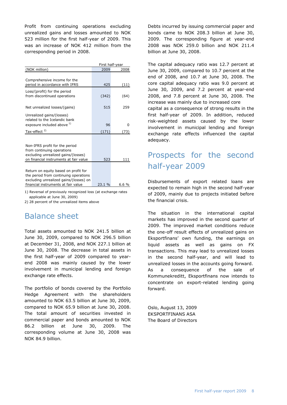Profit from continuing operations excluding unrealized gains and losses amounted to NOK 523 million for the first half-year of 2009. This was an increase of NOK 412 million from the corresponding period in 2008.

|                                        | First half-year |       |  |  |
|----------------------------------------|-----------------|-------|--|--|
| (NOK million)                          | 2009            | 2008  |  |  |
|                                        |                 |       |  |  |
| Comprehensive income for the           |                 |       |  |  |
| period in accordance with IFRS         | 425             | (11)  |  |  |
| Loss/(profit) for the period           |                 |       |  |  |
| from discontinued operations           | (342)           | (64)  |  |  |
|                                        |                 |       |  |  |
| Net unrealized losses/(gains)          | 515             | 259   |  |  |
|                                        |                 |       |  |  |
| Unrealized gains/(losses)              |                 |       |  |  |
| related to the Icelandic bank          |                 |       |  |  |
| exposure included above 1)             | 96              | O     |  |  |
| Tax-effect <sup>2)</sup>               | (171)           | 73)   |  |  |
|                                        |                 |       |  |  |
|                                        |                 |       |  |  |
| Non-IFRS profit for the period         |                 |       |  |  |
| from continuing operations             |                 |       |  |  |
| excluding unrealized gains/(losses)    | 523             |       |  |  |
| on financial instruments at fair value |                 | 111   |  |  |
|                                        |                 |       |  |  |
| Return on equity based on profit for   |                 |       |  |  |
| the period from continuing operations  |                 |       |  |  |
| excluding unrealized gains/(losses) on |                 |       |  |  |
| financial instruments at fair value    | 23.1 %          | 6.6 % |  |  |

1) Reversal of previously recognized loss (at exchange rates applicable at June 30, 2009)

2) 28 percent of the unrealized items above

# Balance sheet

Total assets amounted to NOK 241.5 billion at June 30, 2009, compared to NOK 296.5 billion at December 31, 2008, and NOK 227.1 billion at June 30, 2008. The decrease in total assets in the first half-year of 2009 compared to yearend 2008 was mainly caused by the lower involvement in municipal lending and foreign exchange rate effects.

The portfolio of bonds covered by the Portfolio Hedge Agreement with the shareholders amounted to NOK 63.5 billion at June 30, 2009, compared to NOK 65.9 billion at June 30, 2008. The total amount of securities invested in commercial paper and bonds amounted to NOK 86.2 billion at June 30, 2009. The corresponding volume at June 30, 2008 was NOK 84.9 billion.

Debts incurred by issuing commercial paper and bonds came to NOK 208.3 billion at June 30, 2009. The corresponding figure at year-end 2008 was NOK 259.0 billion and NOK 211.4 billion at June 30, 2008.

The capital adequacy ratio was 12.7 percent at June 30, 2009, compared to 10.7 percent at the end of 2008, and 10.7 at June 30, 2008. The core capital adequacy ratio was 9.0 percent at June 30, 2009, and 7.2 percent at year-end 2008, and 7.8 percent at June 30, 2008. The increase was mainly due to increased core capital as a consequence of strong results in the first half-year of 2009. In addition, reduced risk-weighted assets caused by the lower involvement in municipal lending and foreign exchange rate effects influenced the capital adequacy.

# Prospects for the second half-year 2009

Disbursements of export related loans are expected to remain high in the second half-year of 2009, mainly due to projects initiated before the financial crisis.

The situation in the international capital markets has improved in the second quarter of 2009. The improved market conditions reduce the one-off result effects of unrealized gains on Eksportfinans" own funding, the earnings on liquid assets as well as gains on FX transactions. This may lead to unrealized losses in the second half-year, and will lead to unrealized losses in the accounts going forward. As a consequence of the sale of Kommunekreditt, Eksportfinans now intends to concentrate on export-related lending going forward.

Oslo, August 13, 2009 EKSPORTFINANS ASA The Board of Directors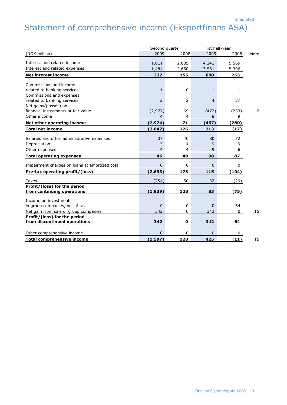# Statement of comprehensive income (Eksportfinans ASA)

|                                               | Second quarter |                |                | First half-year |      |  |
|-----------------------------------------------|----------------|----------------|----------------|-----------------|------|--|
| (NOK million)                                 | 2009           | 2008           | 2009           | 2008            | Note |  |
| Interest and related income                   | 1,811          | 2,805          | 4,241          | 5,569           |      |  |
| Interest and related expenses                 | 1,484          | 2,650          | 3,561          | 5,306           |      |  |
|                                               | 327            | 155            | 680            | 263             |      |  |
| <b>Net interest income</b>                    |                |                |                |                 |      |  |
| Commissions and income                        |                |                |                |                 |      |  |
| related to banking services                   | $\mathbf{1}$   | $\Omega$       | 1              | $\mathbf{1}$    |      |  |
| Commissions and expenses                      |                |                |                |                 |      |  |
| related to banking services                   | $\overline{2}$ | 2              | $\overline{4}$ | 37              |      |  |
| Net gains/(losses) on                         |                |                |                |                 |      |  |
| financial instruments at fair value           | (2,977)        | 69             | (472)          | (253)           | 2    |  |
| Other income                                  | $\overline{4}$ | $\overline{4}$ | 8              | 9               |      |  |
| Net other operating income                    | (2, 974)       | 71             | (467)          | (280)           |      |  |
| <b>Total net income</b>                       | (2, 647)       | 226            | 213            | (17)            |      |  |
|                                               |                |                |                |                 |      |  |
| Salaries and other administrative expenses    | 37             | 40             | 80             | 72              |      |  |
| Depreciation                                  | 5              | 4              | 9              | 9               |      |  |
| Other expenses                                | $\overline{4}$ | 4              | 9              | 6               |      |  |
| <b>Total operating expenses</b>               | 46             | 48             | 98             | 87              |      |  |
| Impairment charges on loans at amortized cost | $\mathbf{0}$   | 0              | $\Omega$       | 0               |      |  |
| Pre-tax operating profit/(loss)               | (2,693)        | 178            | 115            | (104)           |      |  |
| Taxes                                         | (754)          | 50             | 32             | (29)            |      |  |
| Profit/(loss) for the period                  |                |                |                |                 |      |  |
| from continuing operations                    | (1,939)        | 128            | 83             | (75)            |      |  |
| Income on investments                         |                |                |                |                 |      |  |
| in group companies, net of tax                | $\mathbf 0$    | $\mathbf 0$    | $\Omega$       | 64              |      |  |
| Net gain from sale of group companies         | 342            | 0              | 342            | 0               | 15   |  |
| Profit/(loss) for the period                  |                |                |                |                 |      |  |
| from discontinued operations                  | 342            | 0              | 342            | 64              |      |  |
|                                               |                |                |                |                 |      |  |
| Other comprehensive income                    | $\mathbf{0}$   | 0              | $\Omega$       | 0               |      |  |
| Total comprehensive income                    | (1, 597)       | 128            | 425            | (11)            | 15   |  |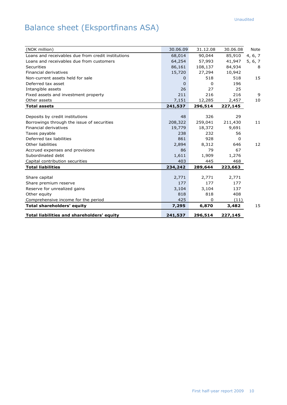# Balance sheet (Eksportfinans ASA)

| (NOK million)                                      | 30.06.09 | 31.12.08 | 30.06.08 | Note    |
|----------------------------------------------------|----------|----------|----------|---------|
| Loans and receivables due from credit institutions | 68,014   | 90,044   | 85,910   | 4, 6, 7 |
| Loans and receivables due from customers           | 64,254   | 57,993   | 41,947   | 5, 6, 7 |
| Securities                                         | 86,161   | 108,137  | 84,934   | 8       |
| Financial derivatives                              | 15,720   | 27,294   | 10,942   |         |
| Non-current assets held for sale                   | 0        | 518      | 518      | 15      |
| Deferred tax asset                                 | $\Omega$ | 0        | 196      |         |
| Intangible assets                                  | 26       | 27       | 25       |         |
| Fixed assets and investment property               | 211      | 216      | 216      | 9       |
| Other assets                                       | 7,151    | 12,285   | 2,457    | 10      |
| <b>Total assets</b>                                | 241,537  | 296,514  | 227,145  |         |
|                                                    |          |          |          |         |
| Deposits by credit institutions                    | 48       | 326      | 29       |         |
| Borrowings through the issue of securities         | 208,322  | 259,041  | 211,430  | 11      |
| Financial derivatives                              | 19,779   | 18,372   | 9,691    |         |
| Taxes payable                                      | 238      | 232      | 56       |         |
| Deferred tax liabilities                           | 861      | 928      | 0        |         |
| Other liabilities                                  | 2,894    | 8,312    | 646      | 12      |
| Accrued expenses and provisions                    | 86       | 79       | 67       |         |
| Subordinated debt                                  | 1,611    | 1,909    | 1,276    |         |
| Capital contribution securities                    | 403      | 445      | 468      |         |
| <b>Total liabilities</b>                           | 234,242  | 289,644  | 223,663  |         |
|                                                    |          |          |          |         |
| Share capital                                      | 2,771    | 2,771    | 2,771    |         |
| Share premium reserve                              | 177      | 177      | 177      |         |
| Reserve for unrealized gains                       | 3,104    | 3,104    | 137      |         |
| Other equity                                       | 818      | 818      | 408      |         |
| Comprehensive income for the period                | 425      | $\Omega$ | (11)     |         |
| <b>Total shareholders' equity</b>                  | 7,295    | 6,870    | 3,482    | 15      |
| Total liabilities and shareholders' equity         | 241,537  | 296,514  | 227,145  |         |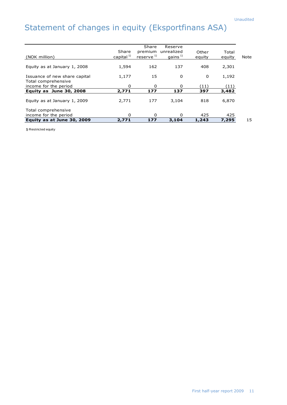# Statement of changes in equity (Eksportfinans ASA)

|          |                                                                    |                                                   |                                                                            |                                                | Note                                                      |
|----------|--------------------------------------------------------------------|---------------------------------------------------|----------------------------------------------------------------------------|------------------------------------------------|-----------------------------------------------------------|
|          |                                                                    |                                                   |                                                                            |                                                |                                                           |
| 1,594    | 162                                                                | 137                                               | 408                                                                        | 2,301                                          |                                                           |
|          |                                                                    |                                                   |                                                                            |                                                |                                                           |
|          | 15                                                                 | 0                                                 | 0                                                                          |                                                |                                                           |
|          |                                                                    |                                                   |                                                                            |                                                |                                                           |
|          |                                                                    |                                                   |                                                                            |                                                |                                                           |
|          |                                                                    |                                                   |                                                                            |                                                |                                                           |
|          |                                                                    |                                                   |                                                                            |                                                |                                                           |
|          |                                                                    |                                                   |                                                                            |                                                |                                                           |
| 2,771    | 177                                                                | 3.104                                             | 818                                                                        | 6,870                                          |                                                           |
|          |                                                                    |                                                   |                                                                            |                                                |                                                           |
|          |                                                                    |                                                   |                                                                            |                                                |                                                           |
| $\Omega$ | 0                                                                  | $\Omega$                                          |                                                                            |                                                |                                                           |
|          |                                                                    |                                                   |                                                                            |                                                | 15                                                        |
|          | Share<br>capital $1$ <sup>1)</sup><br>1,177<br>0<br>2,771<br>2,771 | Share<br>reserve <sup>1)</sup><br>0<br>177<br>177 | Reserve<br>premium unrealized<br>gains $^{1)}$<br>$\Omega$<br>137<br>3,104 | Other<br>equity<br>(11)<br>397<br>425<br>1,243 | Total<br>equity<br>1,192<br>(11)<br>3,482<br>425<br>7,295 |

1) Restricted equity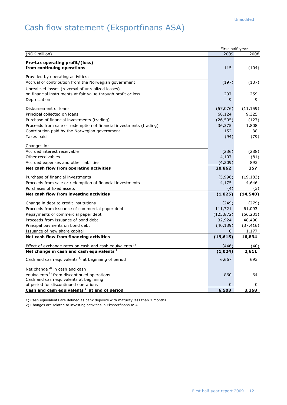# Cash flow statement (Eksportfinans ASA)

|                                                                     | First half-year |           |
|---------------------------------------------------------------------|-----------------|-----------|
| (NOK million)                                                       | 2009            | 2008      |
| Pre-tax operating profit/(loss)                                     |                 |           |
| from continuing operations                                          | 115             | (104)     |
|                                                                     |                 |           |
| Provided by operating activities:                                   |                 |           |
| Accrual of contribution from the Norwegian government               | (197)           | (137)     |
| Unrealized losses (reversal of unrealized losses)                   |                 |           |
| on financial instruments at fair value through profit or loss       | 297             | 259       |
| Depreciation                                                        | 9               | 9         |
| Disbursement of loans                                               | (57,076)        | (11, 159) |
| Principal collected on loans                                        | 68,124          | 9,325     |
| Purchase of financial investments (trading)                         | (26, 505)       | (127)     |
| Proceeds from sale or redemption of financial investments (trading) | 36,375          | 1,808     |
| Contribution paid by the Norwegian government                       | 152             | 38        |
| Taxes paid                                                          | (94)            | (79)      |
|                                                                     |                 |           |
| Changes in:                                                         |                 |           |
| Accrued interest receivable                                         | (236)           | (288)     |
| Other receivables                                                   | 4,107           | (81)      |
| Accrued expenses and other liabilities                              | (4,209)         | 893       |
| Net cash flow from operating activities                             | 20,862          | 357       |
| Purchase of financial investments                                   | (5,996)         | (19, 183) |
| Proceeds from sale or redemption of financial investments           | 4,175           | 4,646     |
| Purchases of fixed assets                                           | (4)             | (3)       |
| Net cash flow from investing activities                             | (1,825)         | (14, 540) |
| Change in debt to credit institutions                               | (249)           | (279)     |
| Proceeds from issuance of commercial paper debt                     | 111,721         | 61,093    |
| Repayments of commercial paper debt                                 | (123, 872)      | (56, 231) |
| Proceeds from issuance of bond debt                                 | 32,924          | 48,490    |
| Principal payments on bond debt                                     | (40, 139)       | (37, 416) |
| Issuance of new share capital                                       | 0               | 1,177     |
| Net cash flow from financing activities                             | (19, 615)       | 16,834    |
| Effect of exchange rates on cash and cash equivalents <sup>1)</sup> | (446)           | (40)      |
| Net change in cash and cash equivalents <sup>1)</sup>               | (1,024)         | 2,611     |
|                                                                     |                 |           |
| Cash and cash equivalents $1$ at beginning of period                | 6,667           | 693       |
| Net change $2$ in cash and cash                                     |                 |           |
| equivalents <sup>1)</sup> from discontinued operations              | 860             | 64        |
| Cash and cash equivalents at beginning                              |                 |           |
| of period for discontinued operations                               | 0               | 0         |
| Cash and cash equivalents $1$ ) at end of period                    | 6,503           | 3,368     |

1) Cash equivalents are defined as bank deposits with maturity less than 3 months.

2) Changes are related to investing activities in Eksportfinans ASA.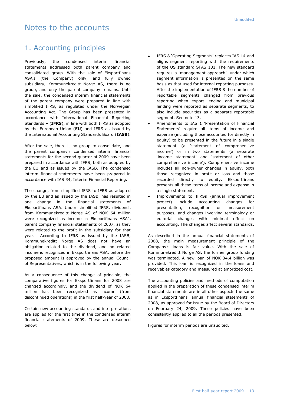# Notes to the accounts

### 1. Accounting principles

Previously, the condensed interim financial statements addressed both parent company and consolidated group. With the sale of Eksportfinans ASA"s (the Company) only, and fully owned subsidiary, Kommunekreditt Norge AS, there is no group, and only the parent company remains. Until the sale, the condensed interim financial statements of the parent company were prepared in line with simplified IFRS, as regulated under the Norwegian Accounting Act. The Group has been presented in accordance with International Financial Reporting Standards – (**IFRS**), in line with both IFRS as adopted by the European Union (**EU**) and IFRS as issued by the International Accounting Standards Board (**IASB**).

After the sale, there is no group to consolidate, and the parent company's condensed interim financial statements for the second quarter of 2009 have been prepared in accordance with IFRS, both as adopted by the EU and as issued by the IASB. The condensed interim financial statements have been prepared in accordance with IAS 34, Interim Financial Reporting.

The change, from simplified IFRS to IFRS as adopted by the EU and as issued by the IASB, has resulted in one change in the financial statements of Eksportfinans ASA. Under simplified IFRS, dividends from Kommunekreditt Norge AS of NOK 64 million were recognized as income in Eksportfinans ASA's parent company financial statements of 2007, as they were related to the profit in the subsidiary for that year. According to IFRS as issued by the IASB, Kommunekreditt Norge AS does not have an obligation related to the dividend, and no related income is recognized in Eksportfinans ASA, before the proposed amount is approved by the annual Council of Representatives, which is in the following year.

As a consequence of this change of principle, the comparative figures for Eksportfinans for 2008 are changed accordingly, and the dividend of NOK 64 million has been recognized as income (from discontinued operations) in the first half-year of 2008.

Certain new accounting standards and interpretations are applied for the first time in the condensed interim financial statements of 2009. These are described below:

- IFRS 8 'Operating Segments' replaces IAS 14 and aligns segment reporting with the requirements of the US standard SFAS 131. The new standard requires a 'management approach', under which segment information is presented on the same basis as that used for internal reporting purposes. After the implementation of IFRS 8 the number of reportable segments changed from previous reporting when export lending and municipal lending were reported as separate segments, to also include securities as a separate reportable segment. See note 13.
- Amendments to IAS 1 "Presentation of Financial Statements' require all items of income and expense (including those accounted for directly in equity) to be presented in the future in a single statement (a "statement of comprehensive income') or in two statements (a separate 'income statement' and 'statement of other comprehensive income"). Comprehensive income includes all non-owner changes in equity, both those recognized in profit or loss and those recorded directly to equity. Eksportfinans presents all these items of income and expense in a single statement.
- Improvements to IFRSs (annual improvement project) include accounting changes for presentation, recognition or measurement purposes, and changes involving terminology or editorial changes with minimal effect on accounting. The changes affect several standards.

As described in the annual financial statements of 2008, the main measurement principle of the Company"s loans is fair value. With the sale of Kommunekreditt Norge AS, the former group funding was terminated. A new loan of NOK 34.4 billion was provided. This loan is recognized in the loans and receivables category and measured at amortized cost.

The accounting policies and methods of computation applied in the preparation of these condensed interim financial statements are in all other aspects the same as in Eksportfinans' annual financial statements of 2008, as approved for issue by the Board of Directors on February 24, 2009. These policies have been consistently applied to all the periods presented.

Figures for interim periods are unaudited.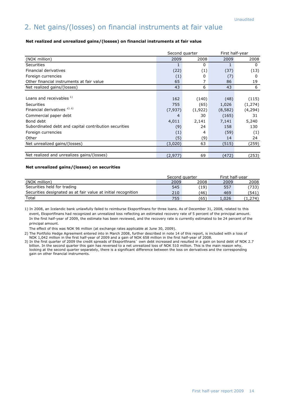# 2. Net gains/(losses) on financial instruments at fair value

#### **Net realized and unrealized gains/(losses) on financial instruments at fair value**

|                                                       | Second quarter |         | First half-year |          |  |
|-------------------------------------------------------|----------------|---------|-----------------|----------|--|
| (NOK million)                                         | 2009           | 2008    | 2009            | 2008     |  |
| <b>Securities</b>                                     | 1              | 0       |                 | 0        |  |
| Financial derivatives                                 | (22)           | (1)     | (37)            | (13)     |  |
| Foreign currencies                                    | (1)            | 0       | (7)             | 0        |  |
| Other financial instruments at fair value             | 65             | 7       | 86              | 19       |  |
| Net realized gains/(losses)                           | 43             | 6       | 43              | 6        |  |
|                                                       |                |         |                 |          |  |
| Loans and receivables 1)                              | 162            | (140)   | (48)            | (115)    |  |
| Securities                                            | 755            | (65)    | 1,026           | (1, 274) |  |
| Financial derivatives <sup>2)3)</sup>                 | (7,937)        | (1,922) | (8,582)         | (4, 294) |  |
| Commercial paper debt                                 | 4              | 30      | (165)           | 31       |  |
| Bond debt                                             | 4,011          | 2,141   | 7,141           | 5,240    |  |
| Subordinated debt and capital contribution securities | (9)            | 24      | 158             | 130      |  |
| Foreign currencies                                    | (1)            | 4       | (59)            | (1)      |  |
| Other                                                 | (5)            | (9)     | 14              | 24       |  |
| Net unrealized gains/(losses)                         | (3,020)        | 63      | (515)           | (259)    |  |
|                                                       |                |         |                 |          |  |
| Net realized and unrealizes gains/(losses)            | (2,977)        | 69      | (472)           | (253)    |  |

#### **Net unrealized gains/(losses) on securities**

|                                                               | Second quarter |      |       | First half-year |  |
|---------------------------------------------------------------|----------------|------|-------|-----------------|--|
| (NOK million)                                                 | 2009           | 2008 | 2009  | 2008            |  |
| Securities held for trading                                   | 545            | (19) | 557   | (733)           |  |
| Securities designated as at fair value at initial recognition | 210            | (46) | 469   | (541)           |  |
| Total                                                         | 755            | (65) | 1.026 | 1,274)          |  |

1) In 2008, an Icelandic bank unlawfully failed to reimburse Eksportfinans for three loans. As of December 31, 2008, related to this event, Eksportfinans had recognized an unrealized loss reflecting an estimated recovery rate of 5 percent of the principal amount. In the first half-year of 2009, the estimate has been reviewed, and the recovery rate is currently estimated to be 24 percent of the principal amount.

The effect of this was NOK 96 million (at exchange rates applicable at June 30, 2009).

2) The Portfolio Hedge Agreement entered into in March 2008, further described in note 14 of this report, is included with a loss of NOK 1,042 million in the first half-year of 2009 and a gain of NOK 658 million in the first half-year of 2008.

3) In the first quarter of 2009 the credit spreads of Eksportfinans` own debt increased and resulted in a gain on bond debt of NOK 2.7 billion. In the second quarter this gain has reversed to a net unrealized loss of NOK 510 million. This is the main reason why, looking at the second quarter separately, there is a significant difference between the loss on derivatives and the corresponding gain on other financial instruments.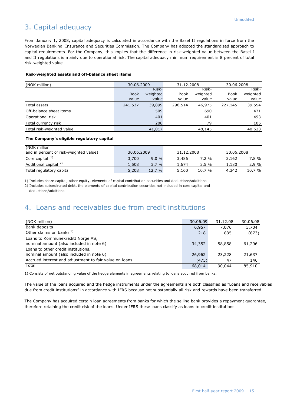# 3. Capital adequacy

From January 1, 2008, capital adequacy is calculated in accordance with the Basel II regulations in force from the Norwegian Banking, Insurance and Securities Commission. The Company has adopted the standardized approach to capital requirements. For the Company, this implies that the difference in risk-weighted value between the Basel I and II regulations is mainly due to operational risk. The capital adequacy minimum requirement is 8 percent of total risk-weighted value.

#### **Risk-weighted assets and off-balance sheet items**

| (NOK million)             | 30.06.2009  |          | 31.12.2008  |          | 30.06.2008  |          |
|---------------------------|-------------|----------|-------------|----------|-------------|----------|
|                           |             | Risk-    |             | Risk-    |             | Risk-    |
|                           | <b>Book</b> | weighted | <b>Book</b> | weighted | <b>Book</b> | weighted |
|                           | value       | value    | value       | value    | value       | value    |
| Total assets              | 241,537     | 39,899   | 296,514     | 46,975   | 227,145     | 39,554   |
| Off-balance sheet items   |             | 509      |             | 690      |             | 471      |
| Operational risk          |             | 401      |             | 401      |             | 493      |
| Total currency risk       |             | 208      |             | 79       |             | 105      |
| Total risk-weighted value |             | 41,017   |             | 48,145   |             | 40,623   |

#### **The Company's eligible regulatory capital**

| (NOK million                           |            |       |            |        |            |          |
|----------------------------------------|------------|-------|------------|--------|------------|----------|
| and in percent of risk-weighted value) | 30.06.2009 |       | 31.12.2008 |        | 30.06.2008 |          |
| Core capital $1$                       | 3,700      | 9.0%  | 3,486      | 7.2 %  | 3.162      | 7.8%     |
| Additional capital <sup>2)</sup>       | 1,508      | 3.7%  | 1,674      | 3.5%   | 1.180      | $2.9 \%$ |
| Total regulatory capital               | 5,208      | 12.7% | 5,160      | 10.7 % | 4,342      | 10.7 %   |

1) Includes share capital, other equity, elements of capital contribution securities and deductions/additions

2) Includes subordinated debt, the elements of capital contribution securities not included in core capital and deductions/additions

### 4. Loans and receivables due from credit institutions

| (NOK million)                                                                 | 30.06.09 | 31.12.08 | 30.06.08 |
|-------------------------------------------------------------------------------|----------|----------|----------|
| Bank deposits                                                                 | 6,957    | 7.076    | 3,704    |
| Other claims on banks <sup>1)</sup>                                           | 218      | 835      | (873)    |
| Loans to Kommunekreditt Norge AS,<br>nominal amount (also included in note 6) | 34,352   | 58,858   | 61,296   |
| Loans to other credit institutions,                                           |          |          |          |
| nominal amount (also included in note 6)                                      | 26,962   | 23,228   | 21,637   |
| Accrued interest and adjustment to fair value on loans                        | (475)    | 47       | 146      |
| Total                                                                         | 68,014   | 90,044   | 85,910   |

1) Consists of net outstanding value of the hedge elements in agreements relating to loans acquired from banks.

The value of the loans acquired and the hedge instruments under the agreements are both classified as "Loans and receivables due from credit institutions" in accordance with IFRS because not substantially all risk and rewards have been transferred.

The Company has acquired certain loan agreements from banks for which the selling bank provides a repayment guarantee, therefore retaining the credit risk of the loans. Under IFRS these loans classify as loans to credit institutions.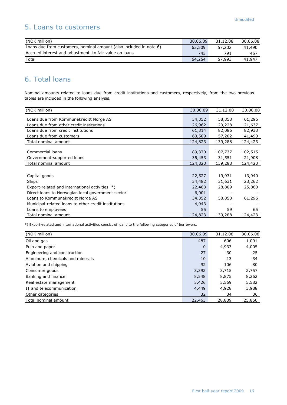# 5. Loans to customers

| (NOK million)                                                      | 30.06.09 | 31.12.08 | 30.06.08 |
|--------------------------------------------------------------------|----------|----------|----------|
| Loans due from customers, nominal amount (also included in note 6) | 63,509   | 57,202   | 41.490   |
| Accrued interest and adjustment to fair value on loans             | 745      | 791      | 457      |
| Total                                                              | 64,254   | 57.993   | 41,947   |

# 6. Total loans

Nominal amounts related to loans due from credit institutions and customers, respectively, from the two previous tables are included in the following analysis.

| (NOK million)                                                                                                                                                                                                                                   | 30.06.09                                                     | 31.12.08                                   | 30.06.08                                   |
|-------------------------------------------------------------------------------------------------------------------------------------------------------------------------------------------------------------------------------------------------|--------------------------------------------------------------|--------------------------------------------|--------------------------------------------|
| Loans due from Kommunekreditt Norge AS<br>Loans due from other credit institutions                                                                                                                                                              | 34,352<br>26,962                                             | 58,858<br>23,228                           | 61,296<br>21,637                           |
| Loans due from credit institutions                                                                                                                                                                                                              | 61,314                                                       | 82,086                                     | 82,933                                     |
| Loans due from customers                                                                                                                                                                                                                        | 63,509                                                       | 57,202                                     | 41,490                                     |
| Total nominal amount                                                                                                                                                                                                                            | 124,823                                                      | 139,288                                    | 124,423                                    |
| Commercial loans<br>Government-supported loans                                                                                                                                                                                                  | 89,370<br>35,453                                             | 107,737<br>31,551                          | 102,515<br>21,908                          |
| Total nominal amount                                                                                                                                                                                                                            | 124,823                                                      | 139,288                                    | 124,423                                    |
| Capital goods<br>Ships<br>Export-related and international activities *)<br>Direct loans to Norwegian local government sector<br>Loans to Kommunekreditt Norge AS<br>Municipal-related loans to other credit institutions<br>Loans to employees | 22,527<br>34,482<br>22,463<br>6,001<br>34,352<br>4,943<br>55 | 19,931<br>31,631<br>28,809<br>58,858<br>59 | 13,940<br>23,262<br>25,860<br>61,296<br>65 |
| Total nominal amount                                                                                                                                                                                                                            | 124,823                                                      | 139,288                                    | 124,423                                    |

\*) Export-related and international activities consist of loans to the following categories of borrowers:

| (NOK million)                    | 30.06.09 | 31.12.08 | 30.06.08 |
|----------------------------------|----------|----------|----------|
| Oil and gas                      | 487      | 606      | 1,091    |
| Pulp and paper                   | $\Omega$ | 4,933    | 4,005    |
| Engineering and construction     | 27       | 30       | 25       |
| Aluminum, chemicals and minerals | 10       | 13       | 34       |
| Aviation and shipping            | 92       | 106      | 80       |
| Consumer goods                   | 3,392    | 3,715    | 2,757    |
| Banking and finance              | 8,548    | 8,875    | 8,262    |
| Real estate management           | 5,426    | 5,569    | 5,582    |
| IT and telecommunication         | 4,449    | 4,928    | 3,988    |
| Other categories                 | 32       | 34       | 36       |
| Total nominal amount             | 22,463   | 28,809   | 25,860   |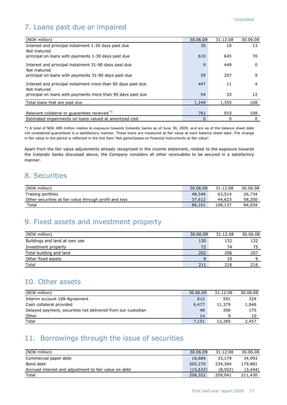# 7. Loans past due or impaired

| (NOK million)                                                | 30.06.09     | 31.12.08 | 30.06.08 |
|--------------------------------------------------------------|--------------|----------|----------|
| Interest and principal instalment 1-30 days past due         | 30           | 10       | 13       |
| Not matured                                                  |              |          |          |
| principal on loans with payments 1-30 days past due          | 610          | 645      | 70       |
| Interest and principal instalment 31-90 days past due        | $\mathsf{q}$ | 449      | 0        |
| Not matured                                                  |              |          |          |
| principal on loans with payments 31-90 days past due         | 59           | 207      | 9        |
|                                                              |              |          |          |
| Interest and principal instalment more than 90 days past due | 447          | 11       | 4        |
| Not matured                                                  |              |          |          |
| principal on loans with payments more than 90 days past due  | 94           | 33       | 12       |
| Total loans that are past due                                | 1,249        | 1,355    | 108      |
|                                                              |              |          |          |
| Relevant collateral or quarantees received <sup>*)</sup>     | 761          | 910      | 108      |
| Estimated impairments on loans valued at amortized cost      | $\Omega$     | 0        | 0        |

\*) A total of NOK 488 million relates to exposure towards Icelandic banks as of June 30, 2009, and are as of the balance sheet date not considered guaranteed in a satisfactory manner. These loans are measured at fair value at each balance sheet date. The change in fair value in the period is reflected in the line item 'Net gains/losses on financial instruments at fair value'.

Apart from the fair value adjustments already recognized in the income statement, related to the exposure towards the Icelandic banks discussed above, the Company considers all other receivables to be secured in a satisfactory manner.

### 8. Securities

| (NOK million)                                          | 30.06.09 | 31.12.08 | 30.06.08 |
|--------------------------------------------------------|----------|----------|----------|
| Trading portfolio                                      | 48,549   | 63,514   | 26,734   |
| Other securities at fair value through profit and loss | 37.612   | 44.623   | 58,200   |
| Total                                                  | 86,161   | 108,137  | 84,934   |

### 9. Fixed assets and investment property

| (NOK million)                 | 30.06.09 | 31.12.08 | 30.06.08 |
|-------------------------------|----------|----------|----------|
| Buildings and land at own use | 130      | 132      | 132      |
| Investment property           | 72       | 74       | 75       |
| Total building and land       | 202      | 206      | 207      |
| Other fixed assets            | $\Omega$ | 10       |          |
| Total                         | 211      | 216      | 216      |

### 10. Other assets

| (NOK million)                                                | 30.06.09 | 31.12.08 | 30.06.08 |
|--------------------------------------------------------------|----------|----------|----------|
| Interim account 108-Agreement                                | 612      | 591      | 324      |
| Cash collateral provided                                     | 6,477    | 11,379   | 1,948    |
| Delayed payment, securities not delivered from our custodian | 48       | 306      | 175      |
| Other                                                        | 14       | Ω        | 10       |
| Total                                                        | 7.151    | 12,285   | 2.457    |

# 11. Borrowings through the issue of securities

| (NOK million)                                         | 30.06.09 | 31.12.08 | 30.06.08 |
|-------------------------------------------------------|----------|----------|----------|
| Commercial paper debt                                 | 18,684   | 33,179   | 34,993   |
| Bond debt                                             | 205,270  | 234,364  | 179,881  |
| Accrued interest and adjustment to fair value on debt | (15.632) | (8.502)  | (3.444)  |
| Total                                                 | 208,322  | 259,041  | 211,430  |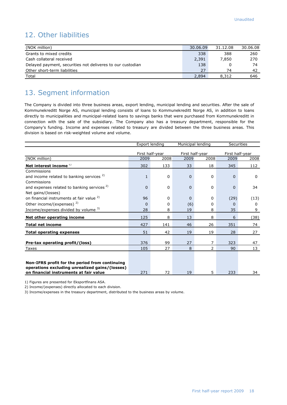# 12. Other liabilities

| (NOK million)                                              | 30.06.09 | 31.12.08 | 30.06.08 |
|------------------------------------------------------------|----------|----------|----------|
| Grants to mixed credits                                    | 338      | 388      | 260      |
| Cash collateral received                                   | 2,391    | 7.850    | 270      |
| Delayed payment, securities not deliveres to our custodian | 138      |          | 74       |
| Other short-term liabilities                               | 27       | 74       | 42       |
| Total                                                      | 2,894    | 8,312    | 646      |

# 13. Segment information

The Company is divided into three business areas, export lending, municipal lending and securities. After the sale of Kommunekreditt Norge AS, municipal lending consists of loans to Kommunekreditt Norge AS, in addition to loans directly to municipalities and municipal-related loans to savings banks that were purchased from Kommunekreditt in connection with the sale of the subsidiary. The Company also has a treasury department, responsible for the Company"s funding. Income and expenses related to treasury are divided between the three business areas. This division is based on risk-weighted volume and volume.

|                                                                                          |              | Export lending          |                | Municipal lending |             | <b>Securities</b>       |
|------------------------------------------------------------------------------------------|--------------|-------------------------|----------------|-------------------|-------------|-------------------------|
|                                                                                          |              |                         |                | First half-year   |             |                         |
|                                                                                          | 2009         | First half-year<br>2008 | 2009           | 2008              | 2009        | First half-year<br>2008 |
| (NOK million)                                                                            |              |                         |                |                   |             |                         |
| Net interest income $1$                                                                  | 302          | 133                     | 33             | 18                | 345         | 112                     |
| Commissions                                                                              |              |                         |                |                   |             |                         |
| and income related to banking services <sup>2)</sup>                                     | $\mathbf{1}$ | $\Omega$                | $\mathbf 0$    | $\Omega$          | $\mathbf 0$ | $\Omega$                |
| Commissions                                                                              |              |                         |                |                   |             |                         |
| and expenses related to banking services <sup>2)</sup>                                   | 0            | 0                       | $\overline{0}$ | $\mathbf 0$       | $\mathbf 0$ | 34                      |
| Net gains/(losses)                                                                       |              |                         |                |                   |             |                         |
| on financial instruments at fair value <sup>2)</sup>                                     | 96           | $\Omega$                | $\Omega$       | $\Omega$          | (29)        | (13)                    |
| Other income/(expenses) $^{2)}$                                                          | $\Omega$     | $\Omega$                | (6)            | 0                 | $\Omega$    | 0                       |
| Income/expenses divided by volume 3)                                                     | 28           | 8                       | 19             | 8                 | 35          | 9                       |
| Net other operating income                                                               | 125          | 8                       | 13             | 8                 | 6           | (38)                    |
| <b>Total net income</b>                                                                  | 427          | 141                     | 46             | 26                | 351         | 74                      |
| <b>Total operating expenses</b>                                                          | 51           | 42                      | 19             | 19                | 28          | 27                      |
|                                                                                          |              |                         |                |                   |             |                         |
| Pre-tax operating profit/(loss)                                                          | 376          | 99                      | 27             | $\overline{7}$    | 323         | 47                      |
| Taxes                                                                                    | 105          | 27                      | 8              | $\overline{2}$    | 90          | 13                      |
|                                                                                          |              |                         |                |                   |             |                         |
|                                                                                          |              |                         |                |                   |             |                         |
| Non-IFRS profit for the period from continuing                                           |              |                         |                |                   |             |                         |
| operations excluding unrealized gains/(losses)<br>on financial instruments at fair value | 271          | 72                      |                | 5                 | 233         | 34                      |
|                                                                                          |              |                         | 19             |                   |             |                         |

1) Figures are presented for Eksportfinans ASA.

2) Income/(expenses) directly allocated to each division.

3) Income/expenses in the treasury department, distributed to the business areas by volume.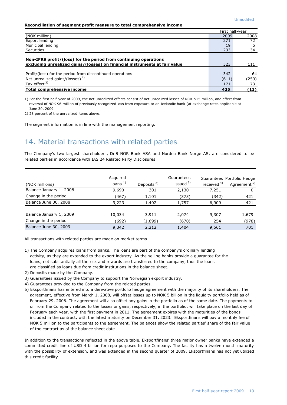#### **Reconciliation of segment profit measure to total comprehensive income**

|                                                                                                                                                |       | First half-vear |
|------------------------------------------------------------------------------------------------------------------------------------------------|-------|-----------------|
| (NOK million)                                                                                                                                  | 2009  | 2008            |
| Export lending                                                                                                                                 | 271   | 72              |
| Municipal lending                                                                                                                              | 19    |                 |
| Securities                                                                                                                                     | 233   | 34              |
| Non-IFRS profit/(loss) for the period from continuing operations<br>excluding unrealized gains/(losses) on financial instruments at fair value | 523   | 111             |
| Profit/(loss) for the period from discontinued operations                                                                                      | 342   | 64              |
| Net unrealized gains/(losses) $1$                                                                                                              | (611) | (259)           |
| Tax effect $2)$                                                                                                                                | 171   | 73              |
| Total comprehensive income                                                                                                                     | 425   | (11)            |

1) For the first half-year of 2009, the net unrealized effects consist of net unrealized losses of NOK 515 million, and effect from reversal of NOK 96 million of previously recognized loss from exposure to an Icelandic bank (at exchange rates applicable at June 30, 2009.

2) 28 percent of the unrealized items above.

The segment information is in line with the management reporting.

# 14. Material transactions with related parties

The Company's two largest shareholders, DnB NOR Bank ASA and Nordea Bank Norge AS, are considered to be related parties in accordance with IAS 24 Related Party Disclosures.

| (NOK millions)          | Acquired<br>loans $1)$ | Deposits $2$ | Guarantees<br>issued $3)$ | received <sup>4)</sup> | Guarantees Portfolio Hedge<br>Agreement <sup>5)</sup> |
|-------------------------|------------------------|--------------|---------------------------|------------------------|-------------------------------------------------------|
| Balance January 1, 2008 | 9,690                  | 301          | 2,130                     | 7,251                  | 0                                                     |
| Change in the period    | (467)                  | 1,101        | (373)                     | (342)                  | 421                                                   |
| Balance June 30, 2008   | 9,223                  | 1,402        | 1,757                     | 6,909                  | 421                                                   |
| Balance January 1, 2009 | 10,034                 | 3.911        | 2,074                     | 9,307                  | 1,679                                                 |
| Change in the period    | (692)                  | (1,699)      | (670)                     | 254                    | (978)                                                 |
| Balance June 30, 2009   | 9,342                  | 2,212        | 1,404                     | 9,561                  | 701                                                   |

All transactions with related parties are made on market terms.

- 1) The Company acquires loans from banks. The loans are part of the company"s ordinary lending activity, as they are extended to the export industry. As the selling banks provide a guarantee for the loans, not substantially all the risk and rewards are transferred to the company, thus the loans are classified as loans due from credit institutions in the balance sheet.
- 2) Deposits made by the Company.
- 3) Guarantees issued by the Company to support the Norwegian export industry.
- 4) Guarantees provided to the Company from the related parties.
- 5) Eksportfinans has entered into a derivative portfolio hedge agreement with the majority of its shareholders. The agreement, effective from March 1, 2008, will offset losses up to NOK 5 billion in the liquidity portfolio held as of February 29, 2008. The agreement will also offset any gains in the portfolio as of the same date. The payments to or from the Company related to the losses or gains, respectively, in the portfolio, will take place on the last day of February each year, with the first payment in 2011. The agreement expires with the maturities of the bonds included in the contract, with the latest maturity on December 31, 2023. Eksportfinans will pay a monthly fee of NOK 5 million to the participants to the agreement. The balances show the related parties" share of the fair value of the contract as of the balance sheet date.

In addition to the transactions reflected in the above table, Eksportfinans" three major owner banks have extended a committed credit line of USD 4 billion for repo purposes to the Company. The facility has a twelve month maturity with the possibility of extension, and was extended in the second quarter of 2009. Eksportfinans has not yet utilized this credit facility.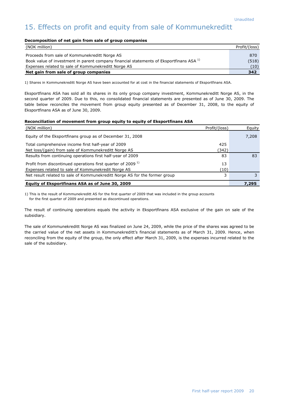# 15. Effects on profit and equity from sale of Kommunekreditt

#### **Decomposition of net gain from sale of group companies**

| (NOK million)                                                                                      | Profit/(loss) |
|----------------------------------------------------------------------------------------------------|---------------|
| Proceeds from sale of Kommunekreditt Norge AS                                                      | 870           |
| Book value of investment in parent company financial statements of Eksportfinans ASA <sup>1)</sup> |               |
| Expenses related to sale of Kommunekreditt Norge AS                                                |               |
| Net gain from sale of group companies                                                              |               |

1) Shares in Kommunekreditt Norge AS have been accounted for at cost in the financial statements of Eksportfinans ASA.

Eksportfinans ASA has sold all its shares in its only group company investment, Kommunekreditt Norge AS, in the second quarter of 2009. Due to this, no consolidated financial statements are presented as of June 30, 2009. The table below reconciles the movement from group equity presented as of December 31, 2008, to the equity of Eksportfinans ASA as of June 30, 2009.

#### **Reconciliation of movement from group equity to equity of Eksportfinans ASA**

| (NOK million)                                                                   | Profit/(loss) | Equity |
|---------------------------------------------------------------------------------|---------------|--------|
| Equity of the Eksportfinans group as of December 31, 2008                       |               | 7,208  |
| Total comprehensive income first half-year of 2009                              | 425           |        |
| Net loss/(gain) from sale of Kommunekreditt Norge AS                            | (342)         |        |
| Results from continuing operations first half-year of 2009                      | 83            | 83     |
| Profit from discontinued operations first quarter of 2009 <sup>1)</sup>         | 13            |        |
| Expenses related to sale of Kommunekredit Norge AS                              | (10)          |        |
| Net result related to sale of Kommunekreditt Norge AS for the former group<br>3 |               |        |
| Equity of Eksportfinans ASA as of June 30, 2009                                 |               | 7,295  |

1) This is the result of Kommunekreditt AS for the first quarter of 2009 that was included in the group accounts for the first quarter of 2009 and presented as discontinued operations.

The result of continuing operations equals the activity in Eksportfinans ASA exclusive of the gain on sale of the subsidiary.

The sale of Kommunekreditt Norge AS was finalized on June 24, 2009, while the price of the shares was agreed to be the carried value of the net assets in Kommunekreditt"s financial statements as of March 31, 2009. Hence, when reconciling from the equity of the group, the only effect after March 31, 2009, is the expenses incurred related to the sale of the subsidiary.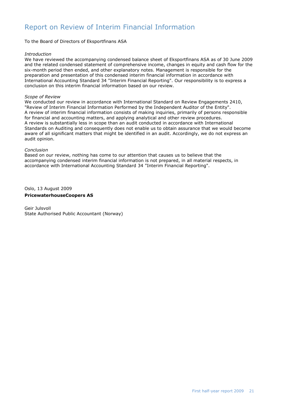# Report on Review of Interim Financial Information

To the Board of Directors of Eksportfinans ASA

#### *Introduction*

We have reviewed the accompanying condensed balance sheet of Eksportfinans ASA as of 30 June 2009 and the related condensed statement of comprehensive income, changes in equity and cash flow for the six-month period then ended, and other explanatory notes. Management is responsible for the preparation and presentation of this condensed interim financial information in accordance with International Accounting Standard 34 "Interim Financial Reporting". Our responsibility is to express a conclusion on this interim financial information based on our review.

#### *Scope of Review*

We conducted our review in accordance with International Standard on Review Engagements 2410, "Review of Interim Financial Information Performed by the Independent Auditor of the Entity". A review of interim financial information consists of making inquiries, primarily of persons responsible for financial and accounting matters, and applying analytical and other review procedures. A review is substantially less in scope than an audit conducted in accordance with International Standards on Auditing and consequently does not enable us to obtain assurance that we would become aware of all significant matters that might be identified in an audit. Accordingly, we do not express an audit opinion.

#### *Conclusion*

Based on our review, nothing has come to our attention that causes us to believe that the accompanying condensed interim financial information is not prepared, in all material respects, in accordance with International Accounting Standard 34 "Interim Financial Reporting".

Oslo, 13 August 2009 **PricewaterhouseCoopers AS**

Geir Julsvoll State Authorised Public Accountant (Norway)